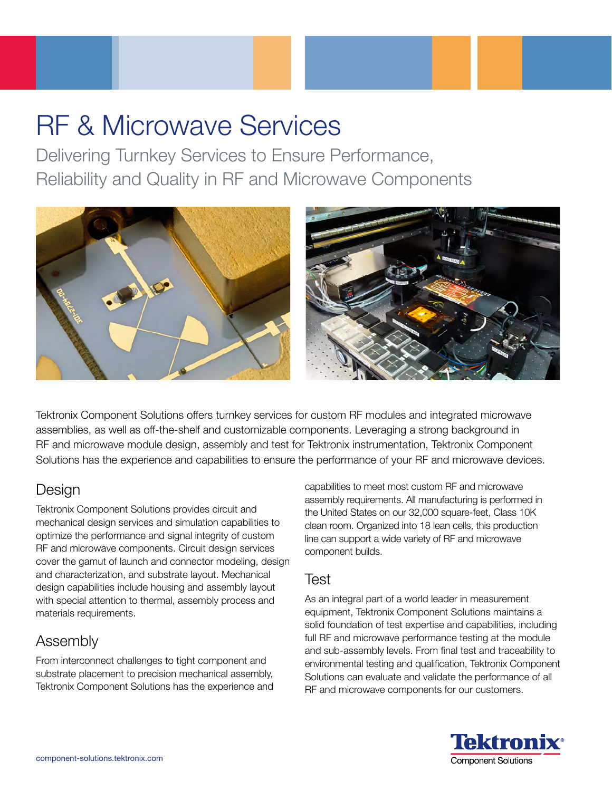# RF & Microwave Services

Delivering Turnkey Services to Ensure Performance, Reliability and Quality in RF and Microwave Components



Tektronix Component Solutions offers turnkey services for custom RF modules and integrated microwave assemblies, as well as off-the-shelf and customizable components. Leveraging a strong background in RF and microwave module design, assembly and test for Tektronix instrumentation, Tektronix Component Solutions has the experience and capabilities to ensure the performance of your RF and microwave devices.

## Design

Tektronix Component Solutions provides circuit and mechanical design services and simulation capabilities to optimize the performance and signal integrity of custom RF and microwave components. Circuit design services cover the gamut of launch and connector modeling, design and characterization, and substrate layout. Mechanical design capabilities include housing and assembly layout with special attention to thermal, assembly process and materials requirements.

### Assembly

From interconnect challenges to tight component and substrate placement to precision mechanical assembly, Tektronix Component Solutions has the experience and

capabilities to meet most custom RF and microwave assembly requirements. All manufacturing is performed in the United States on our 32,000 square-feet, Class 10K clean room. Organized into 18 lean cells, this production line can support a wide variety of RF and microwave component builds.

#### Test

As an integral part of a world leader in measurement equipment, Tektronix Component Solutions maintains a solid foundation of test expertise and capabilities, including full RF and microwave performance testing at the module and sub-assembly levels. From final test and traceability to environmental testing and qualification, Tektronix Component Solutions can evaluate and validate the performance of all RF and microwave components for our customers.